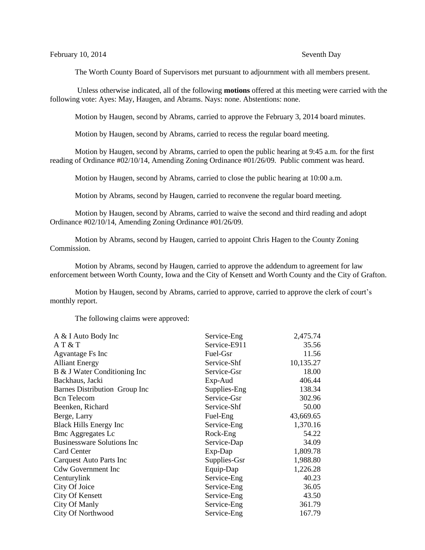The Worth County Board of Supervisors met pursuant to adjournment with all members present.

Unless otherwise indicated, all of the following **motions** offered at this meeting were carried with the following vote: Ayes: May, Haugen, and Abrams. Nays: none. Abstentions: none.

Motion by Haugen, second by Abrams, carried to approve the February 3, 2014 board minutes.

Motion by Haugen, second by Abrams, carried to recess the regular board meeting.

Motion by Haugen, second by Abrams, carried to open the public hearing at 9:45 a.m. for the first reading of Ordinance #02/10/14, Amending Zoning Ordinance #01/26/09. Public comment was heard.

Motion by Haugen, second by Abrams, carried to close the public hearing at 10:00 a.m.

Motion by Abrams, second by Haugen, carried to reconvene the regular board meeting.

Motion by Haugen, second by Abrams, carried to waive the second and third reading and adopt Ordinance #02/10/14, Amending Zoning Ordinance #01/26/09.

Motion by Abrams, second by Haugen, carried to appoint Chris Hagen to the County Zoning Commission.

Motion by Abrams, second by Haugen, carried to approve the addendum to agreement for law enforcement between Worth County, Iowa and the City of Kensett and Worth County and the City of Grafton.

Motion by Haugen, second by Abrams, carried to approve, carried to approve the clerk of court's monthly report.

The following claims were approved:

| A & I Auto Body Inc               | Service-Eng  | 2,475.74  |
|-----------------------------------|--------------|-----------|
| A T & T                           | Service-E911 | 35.56     |
| Agvantage Fs Inc                  | Fuel-Gsr     | 11.56     |
| <b>Alliant Energy</b>             | Service-Shf  | 10,135.27 |
| B & J Water Conditioning Inc      | Service-Gsr  | 18.00     |
| Backhaus, Jacki                   | Exp-Aud      | 406.44    |
| Barnes Distribution Group Inc     | Supplies-Eng | 138.34    |
| <b>Bcn</b> Telecom                | Service-Gsr  | 302.96    |
| Beenken, Richard                  | Service-Shf  | 50.00     |
| Berge, Larry                      | Fuel-Eng     | 43,669.65 |
| <b>Black Hills Energy Inc</b>     | Service-Eng  | 1,370.16  |
| <b>Bmc Aggregates Lc</b>          | Rock-Eng     | 54.22     |
| <b>Businessware Solutions Inc</b> | Service-Dap  | 34.09     |
| Card Center                       | Exp-Dap      | 1,809.78  |
| Carquest Auto Parts Inc           | Supplies-Gsr | 1,988.80  |
| <b>Cdw Government Inc</b>         | Equip-Dap    | 1,226.28  |
| Centurylink                       | Service-Eng  | 40.23     |
| City Of Joice                     | Service-Eng  | 36.05     |
| City Of Kensett                   | Service-Eng  | 43.50     |
| City Of Manly                     | Service-Eng  | 361.79    |
| <b>City Of Northwood</b>          | Service-Eng  | 167.79    |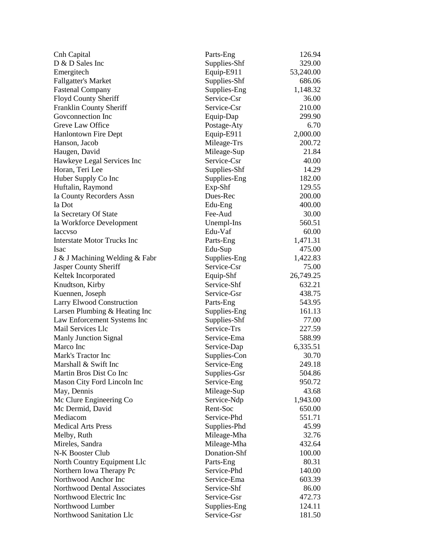| Cnh Capital                                | Parts-Eng    | 126.94    |
|--------------------------------------------|--------------|-----------|
| D & D Sales Inc                            | Supplies-Shf | 329.00    |
| Emergitech                                 | Equip-E911   | 53,240.00 |
| <b>Fallgatter's Market</b>                 | Supplies-Shf | 686.06    |
| <b>Fastenal Company</b>                    | Supplies-Eng | 1,148.32  |
| Floyd County Sheriff                       | Service-Csr  | 36.00     |
| Franklin County Sheriff                    | Service-Csr  | 210.00    |
| Goveonnection Inc                          | Equip-Dap    | 299.90    |
| Greve Law Office                           | Postage-Aty  | 6.70      |
| <b>Hanlontown Fire Dept</b>                | Equip-E911   | 2,000.00  |
| Hanson, Jacob                              | Mileage-Trs  | 200.72    |
| Haugen, David                              | Mileage-Sup  | 21.84     |
| Hawkeye Legal Services Inc                 | Service-Csr  | 40.00     |
| Horan, Teri Lee                            | Supplies-Shf | 14.29     |
| Huber Supply Co Inc                        | Supplies-Eng | 182.00    |
| Huftalin, Raymond                          | Exp-Shf      | 129.55    |
| Ia County Recorders Assn                   | Dues-Rec     | 200.00    |
| Ia Dot                                     | Edu-Eng      | 400.00    |
| Ia Secretary Of State                      | Fee-Aud      | 30.00     |
| Ia Workforce Development                   | Unempl-Ins   | 560.51    |
| <b>Iaccyso</b>                             | Edu-Vaf      | 60.00     |
| <b>Interstate Motor Trucks Inc</b>         | Parts-Eng    | 1,471.31  |
| <b>Isac</b>                                | Edu-Sup      | 475.00    |
| J & J Machining Welding & Fabr             | Supplies-Eng | 1,422.83  |
| Jasper County Sheriff                      | Service-Csr  | 75.00     |
| Keltek Incorporated                        | Equip-Shf    | 26,749.25 |
| Knudtson, Kirby                            | Service-Shf  | 632.21    |
| Kuennen, Joseph                            | Service-Gsr  | 438.75    |
| <b>Larry Elwood Construction</b>           | Parts-Eng    | 543.95    |
| Larsen Plumbing & Heating Inc              | Supplies-Eng | 161.13    |
| Law Enforcement Systems Inc                | Supplies-Shf | 77.00     |
| Mail Services Llc                          | Service-Trs  | 227.59    |
| Manly Junction Signal                      | Service-Ema  | 588.99    |
| Marco Inc                                  | Service-Dap  | 6,335.51  |
| Mark's Tractor Inc                         | Supplies-Con | 30.70     |
| Marshall & Swift Inc                       |              | 249.18    |
| Martin Bros Dist Co Inc                    | Service-Eng  | 504.86    |
|                                            | Supplies-Gsr | 950.72    |
| Mason City Ford Lincoln Inc<br>May, Dennis | Service-Eng  | 43.68     |
|                                            | Mileage-Sup  |           |
| Mc Clure Engineering Co                    | Service-Ndp  | 1,943.00  |
| Mc Dermid, David                           | Rent-Soc     | 650.00    |
| Mediacom                                   | Service-Phd  | 551.71    |
| <b>Medical Arts Press</b>                  | Supplies-Phd | 45.99     |
| Melby, Ruth                                | Mileage-Mha  | 32.76     |
| Mireles, Sandra                            | Mileage-Mha  | 432.64    |
| N-K Booster Club                           | Donation-Shf | 100.00    |
| North Country Equipment Llc                | Parts-Eng    | 80.31     |
| Northern Iowa Therapy Pc                   | Service-Phd  | 140.00    |
| Northwood Anchor Inc                       | Service-Ema  | 603.39    |
| Northwood Dental Associates                | Service-Shf  | 86.00     |
| Northwood Electric Inc                     | Service-Gsr  | 472.73    |
| Northwood Lumber                           | Supplies-Eng | 124.11    |
| Northwood Sanitation Llc                   | Service-Gsr  | 181.50    |